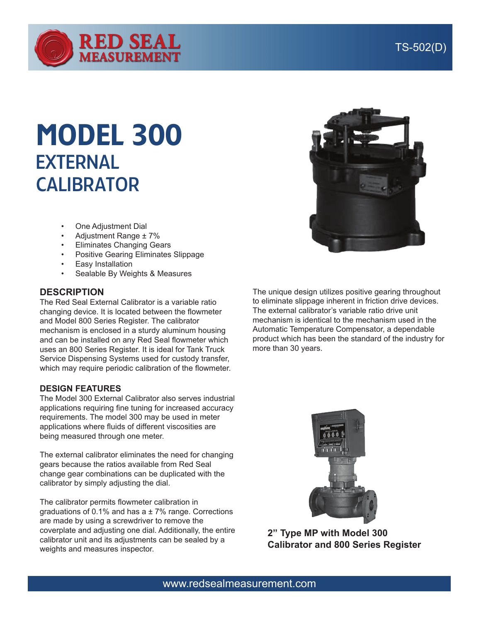

## TS-502(D)

# MODEL 300 EXTERNAL **CALIBRATOR**

- **One Adjustment Dial**
- Adjustment Range  $± 7%$
- **Eliminates Changing Gears**
- Positive Gearing Eliminates Slippage
- **Easy Installation**
- Sealable By Weights & Measures

#### **DESCRIPTION**

The Red Seal External Calibrator is a variable ratio changing device. It is located between the flowmeter and Model 800 Series Register. The calibrator mechanism is enclosed in a sturdy aluminum housing and can be installed on any Red Seal flowmeter which uses an 800 Series Register. It is ideal for Tank Truck Service Dispensing Systems used for custody transfer, which may require periodic calibration of the flowmeter.

#### **DESIGN FEATURES**

The Model 300 External Calibrator also serves industrial applications requiring fine tuning for increased accuracy requirements. The model 300 may be used in meter applications where fluids of different viscosities are being measured through one meter.

The external calibrator eliminates the need for changing gears because the ratios available from Red Seal change gear combinations can be duplicated with the calibrator by simply adjusting the dial.

The calibrator permits flowmeter calibration in graduations of 0.1% and has  $a \pm 7$ % range. Corrections are made by using a screwdriver to remove the coverplate and adjusting one dial. Additionally, the entire calibrator unit and its adjustments can be sealed by a weights and measures inspector.



The unique design utilizes positive gearing throughout to eliminate slippage inherent in friction drive devices. The external calibrator's variable ratio drive unit mechanism is identical to the mechanism used in the Automatic Temperature Compensator, a dependable product which has been the standard of the industry for more than 30 years.



**2" Type MP with Model 300 Calibrator and 800 Series Register**